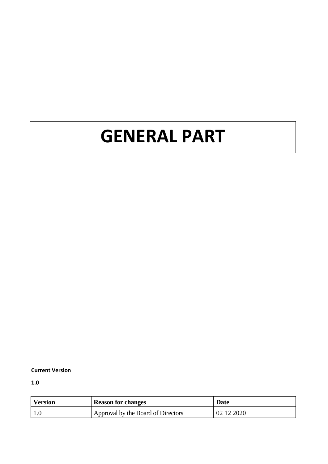# **GENERAL PART**

#### **Current Version**

**1.0**

| <b>Version</b> | <b>Reason for changes</b>          | <b>Date</b> |
|----------------|------------------------------------|-------------|
|                | Approval by the Board of Directors | 102122020   |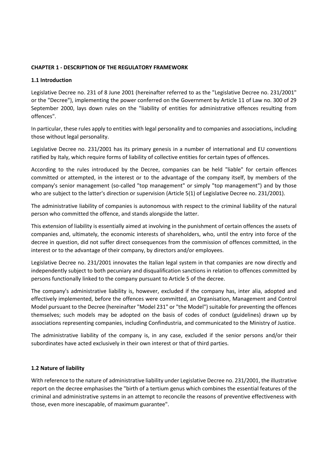#### **CHAPTER 1 - DESCRIPTION OF THE REGULATORY FRAMEWORK**

#### **1.1 Introduction**

Legislative Decree no. 231 of 8 June 2001 (hereinafter referred to as the "Legislative Decree no. 231/2001" or the "Decree"), implementing the power conferred on the Government by Article 11 of Law no. 300 of 29 September 2000, lays down rules on the "liability of entities for administrative offences resulting from offences".

In particular, these rules apply to entities with legal personality and to companies and associations, including those without legal personality.

Legislative Decree no. 231/2001 has its primary genesis in a number of international and EU conventions ratified by Italy, which require forms of liability of collective entities for certain types of offences.

According to the rules introduced by the Decree, companies can be held "liable" for certain offences committed or attempted, in the interest or to the advantage of the company itself, by members of the company's senior management (so-called "top management" or simply "top management") and by those who are subject to the latter's direction or supervision (Article 5(1) of Legislative Decree no. 231/2001).

The administrative liability of companies is autonomous with respect to the criminal liability of the natural person who committed the offence, and stands alongside the latter.

This extension of liability is essentially aimed at involving in the punishment of certain offences the assets of companies and, ultimately, the economic interests of shareholders, who, until the entry into force of the decree in question, did not suffer direct consequences from the commission of offences committed, in the interest or to the advantage of their company, by directors and/or employees.

Legislative Decree no. 231/2001 innovates the Italian legal system in that companies are now directly and independently subject to both pecuniary and disqualification sanctions in relation to offences committed by persons functionally linked to the company pursuant to Article 5 of the decree.

The company's administrative liability is, however, excluded if the company has, inter alia, adopted and effectively implemented, before the offences were committed, an Organisation, Management and Control Model pursuant to the Decree (hereinafter "Model 231" or "the Model") suitable for preventing the offences themselves; such models may be adopted on the basis of codes of conduct (guidelines) drawn up by associations representing companies, including Confindustria, and communicated to the Ministry of Justice.

The administrative liability of the company is, in any case, excluded if the senior persons and/or their subordinates have acted exclusively in their own interest or that of third parties.

#### **1.2 Nature of liability**

With reference to the nature of administrative liability under Legislative Decree no. 231/2001, the illustrative report on the decree emphasises the "birth of a tertium genus which combines the essential features of the criminal and administrative systems in an attempt to reconcile the reasons of preventive effectiveness with those, even more inescapable, of maximum guarantee".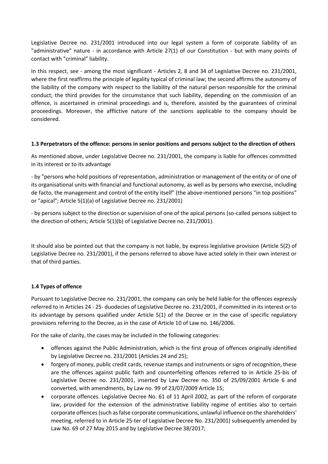Legislative Decree no. 231/2001 introduced into our legal system a form of corporate liability of an "administrative" nature - in accordance with Article 27(1) of our Constitution - but with many points of contact with "criminal" liability.

In this respect, see - among the most significant - Articles 2, 8 and 34 of Legislative Decree no. 231/2001, where the first reaffirms the principle of legality typical of criminal law; the second affirms the autonomy of the liability of the company with respect to the liability of the natural person responsible for the criminal conduct; the third provides for the circumstance that such liability, depending on the commission of an offence, is ascertained in criminal proceedings and is, therefore, assisted by the guarantees of criminal proceedings. Moreover, the afflictive nature of the sanctions applicable to the company should be considered.

## **1.3 Perpetrators of the offence: persons in senior positions and persons subject to the direction of others**

As mentioned above, under Legislative Decree no. 231/2001, the company is liable for offences committed in its interest or to its advantage

- by "persons who hold positions of representation, administration or management of the entity or of one of its organisational units with financial and functional autonomy, as well as by persons who exercise, including de facto, the management and control of the entity itself" (the above-mentioned persons "in top positions" or "apical"; Article 5(1)(a) of Legislative Decree no. 231/2001)

- by persons subject to the direction or supervision of one of the apical persons (so-called persons subject to the direction of others; Article 5(1)(b) of Legislative Decree no. 231/2001).

It should also be pointed out that the company is not liable, by express legislative provision (Article 5(2) of Legislative Decree no. 231/2001), if the persons referred to above have acted solely in their own interest or that of third parties.

# **1.4 Types of offence**

Pursuant to Legislative Decree no. 231/2001, the company can only be held liable for the offences expressly referred to in Articles 24 - 25- duodecies of Legislative Decree no. 231/2001, if committed in its interest or to its advantage by persons qualified under Article 5(1) of the Decree or in the case of specific regulatory provisions referring to the Decree, as in the case of Article 10 of Law no. 146/2006.

For the sake of clarity, the cases may be included in the following categories:

- offences against the Public Administration, which is the first group of offences originally identified by Legislative Decree no. 231/2001 (Articles 24 and 25);
- forgery of money, public credit cards, revenue stamps and instruments or signs of recognition, these are the offences against public faith and counterfeiting offences referred to in Article 25-bis of Legislative Decree no. 231/2001, inserted by Law Decree no. 350 of 25/09/2001 Article 6 and converted, with amendments, by Law no. 99 of 23/07/2009 Article 15;
- corporate offences. Legislative Decree No. 61 of 11 April 2002, as part of the reform of corporate law, provided for the extension of the administrative liability regime of entities also to certain corporate offences (such as false corporate communications, unlawful influence on the shareholders' meeting, referred to in Article 25-ter of Legislative Decree No. 231/2001) subsequently amended by Law No. 69 of 27 May 2015 and by Legislative Decree 38/2017;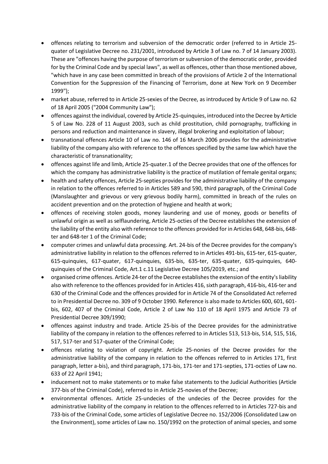- offences relating to terrorism and subversion of the democratic order (referred to in Article 25 quater of Legislative Decree no. 231/2001, introduced by Article 3 of Law no. 7 of 14 January 2003). These are "offences having the purpose of terrorism or subversion of the democratic order, provided for by the Criminal Code and by special laws", as well as offences, other than those mentioned above, "which have in any case been committed in breach of the provisions of Article 2 of the International Convention for the Suppression of the Financing of Terrorism, done at New York on 9 December 1999");
- market abuse, referred to in Article 25-sexies of the Decree, as introduced by Article 9 of Law no. 62 of 18 April 2005 ("2004 Community Law");
- offences against the individual, covered by Article 25-quinquies, introduced into the Decree by Article 5 of Law No. 228 of 11 August 2003, such as child prostitution, child pornography, trafficking in persons and reduction and maintenance in slavery, illegal brokering and exploitation of labour;
- transnational offences Article 10 of Law no. 146 of 16 March 2006 provides for the administrative liability of the company also with reference to the offences specified by the same law which have the characteristic of transnationality;
- offences against life and limb, Article 25-quater.1 of the Decree provides that one of the offences for which the company has administrative liability is the practice of mutilation of female genital organs;
- health and safety offences, Article 25-septies provides for the administrative liability of the company in relation to the offences referred to in Articles 589 and 590, third paragraph, of the Criminal Code (Manslaughter and grievous or very grievous bodily harm), committed in breach of the rules on accident prevention and on the protection of hygiene and health at work;
- offences of receiving stolen goods, money laundering and use of money, goods or benefits of unlawful origin as well as selflaundering, Article 25-octies of the Decree establishes the extension of the liability of the entity also with reference to the offences provided for in Articles 648, 648-bis, 648 ter and 648-ter 1 of the Criminal Code;
- computer crimes and unlawful data processing. Art. 24-bis of the Decree provides for the company's administrative liability in relation to the offences referred to in Articles 491-bis, 615-ter, 615-quater, 615-quinquies, 617-quater, 617-quinquies, 635-bis, 635-ter, 635-quater, 635-quinquies, 640 quinquies of the Criminal Code, Art.1 c.11 Legislative Decree 105/2019, etc.; and
- organised crime offences. Article 24-ter of the Decree establishes the extension of the entity's liability also with reference to the offences provided for in Articles 416, sixth paragraph, 416-bis, 416-ter and 630 of the Criminal Code and the offences provided for in Article 74 of the Consolidated Act referred to in Presidential Decree no. 309 of 9 October 1990. Reference is also made to Articles 600, 601, 601 bis, 602, 407 of the Criminal Code, Article 2 of Law No 110 of 18 April 1975 and Article 73 of Presidential Decree 309/1990;
- offences against industry and trade. Article 25-bis of the Decree provides for the administrative liability of the company in relation to the offences referred to in Articles 513, 513-bis, 514, 515, 516, 517, 517-ter and 517-quater of the Criminal Code;
- offences relating to violation of copyright. Article 25-nonies of the Decree provides for the administrative liability of the company in relation to the offences referred to in Articles 171, first paragraph, letter a-bis), and third paragraph, 171-bis, 171-ter and 171-septies, 171-octies of Law no. 633 of 22 April 1941;
- inducement not to make statements or to make false statements to the Judicial Authorities (Article 377-bis of the Criminal Code), referred to in Article 25-novies of the Decree;
- environmental offences. Article 25-undecies of the undecies of the Decree provides for the administrative liability of the company in relation to the offences referred to in Articles 727-bis and 733-bis of the Criminal Code, some articles of Legislative Decree no. 152/2006 (Consolidated Law on the Environment), some articles of Law no. 150/1992 on the protection of animal species, and some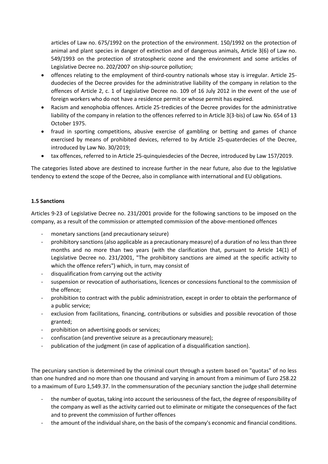articles of Law no. 675/1992 on the protection of the environment. 150/1992 on the protection of animal and plant species in danger of extinction and of dangerous animals, Article 3(6) of Law no. 549/1993 on the protection of stratospheric ozone and the environment and some articles of Legislative Decree no. 202/2007 on ship-source pollution;

- offences relating to the employment of third-country nationals whose stay is irregular. Article 25 duodecies of the Decree provides for the administrative liability of the company in relation to the offences of Article 2, c. 1 of Legislative Decree no. 109 of 16 July 2012 in the event of the use of foreign workers who do not have a residence permit or whose permit has expired.
- Racism and xenophobia offences. Article 25-tredicies of the Decree provides for the administrative liability of the company in relation to the offences referred to in Article 3(3-bis) of Law No. 654 of 13 October 1975.
- fraud in sporting competitions, abusive exercise of gambling or betting and games of chance exercised by means of prohibited devices, referred to by Article 25-quaterdecies of the Decree, introduced by Law No. 30/2019;
- tax offences, referred to in Article 25-quinquiesdecies of the Decree, introduced by Law 157/2019.

The categories listed above are destined to increase further in the near future, also due to the legislative tendency to extend the scope of the Decree, also in compliance with international and EU obligations.

## **1.5 Sanctions**

Articles 9-23 of Legislative Decree no. 231/2001 provide for the following sanctions to be imposed on the company, as a result of the commission or attempted commission of the above-mentioned offences

- monetary sanctions (and precautionary seizure)
- prohibitory sanctions (also applicable as a precautionary measure) of a duration of no less than three months and no more than two years (with the clarification that, pursuant to Article 14(1) of Legislative Decree no. 231/2001, "The prohibitory sanctions are aimed at the specific activity to which the offence refers") which, in turn, may consist of
- disqualification from carrying out the activity
- suspension or revocation of authorisations, licences or concessions functional to the commission of the offence;
- prohibition to contract with the public administration, except in order to obtain the performance of a public service;
- exclusion from facilitations, financing, contributions or subsidies and possible revocation of those granted;
- prohibition on advertising goods or services;
- confiscation (and preventive seizure as a precautionary measure);
- publication of the judgment (in case of application of a disqualification sanction).

The pecuniary sanction is determined by the criminal court through a system based on "quotas" of no less than one hundred and no more than one thousand and varying in amount from a minimum of Euro 258.22 to a maximum of Euro 1,549.37. In the commensuration of the pecuniary sanction the judge shall determine

- the number of quotas, taking into account the seriousness of the fact, the degree of responsibility of the company as well as the activity carried out to eliminate or mitigate the consequences of the fact and to prevent the commission of further offences
- the amount of the individual share, on the basis of the company's economic and financial conditions.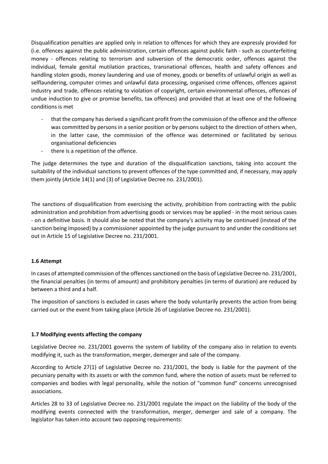Disqualification penalties are applied only in relation to offences for which they are expressly provided for (i.e. offences against the public administration, certain offences against public faith - such as counterfeiting money - offences relating to terrorism and subversion of the democratic order, offences against the individual, female genital mutilation practices, transnational offences, health and safety offences and handling stolen goods, money laundering and use of money, goods or benefits of unlawful origin as well as selflaundering, computer crimes and unlawful data processing, organised crime offences, offences against industry and trade, offences relating to violation of copyright, certain environmental offences, offences of undue induction to give or promise benefits, tax offences) and provided that at least one of the following conditions is met

- that the company has derived a significant profit from the commission of the offence and the offence was committed by persons in a senior position or by persons subject to the direction of others when, in the latter case, the commission of the offence was determined or facilitated by serious organisational deficiencies
- there is a repetition of the offence.

The judge determines the type and duration of the disqualification sanctions, taking into account the suitability of the individual sanctions to prevent offences of the type committed and, if necessary, may apply them jointly (Article 14(1) and (3) of Legislative Decree no. 231/2001).

The sanctions of disqualification from exercising the activity, prohibition from contracting with the public administration and prohibition from advertising goods or services may be applied - in the most serious cases - on a definitive basis. It should also be noted that the company's activity may be continued (instead of the sanction being imposed) by a commissioner appointed by the judge pursuant to and under the conditions set out in Article 15 of Legislative Decree no. 231/2001.

# **1.6 Attempt**

In cases of attempted commission of the offences sanctioned on the basis of Legislative Decree no. 231/2001, the financial penalties (in terms of amount) and prohibitory penalties (in terms of duration) are reduced by between a third and a half.

The imposition of sanctions is excluded in cases where the body voluntarily prevents the action from being carried out or the event from taking place (Article 26 of Legislative Decree no. 231/2001).

# **1.7 Modifying events affecting the company**

Legislative Decree no. 231/2001 governs the system of liability of the company also in relation to events modifying it, such as the transformation, merger, demerger and sale of the company.

According to Article 27(1) of Legislative Decree no. 231/2001, the body is liable for the payment of the pecuniary penalty with its assets or with the common fund, where the notion of assets must be referred to companies and bodies with legal personality, while the notion of "common fund" concerns unrecognised associations.

Articles 28 to 33 of Legislative Decree no. 231/2001 regulate the impact on the liability of the body of the modifying events connected with the transformation, merger, demerger and sale of a company. The legislator has taken into account two opposing requirements: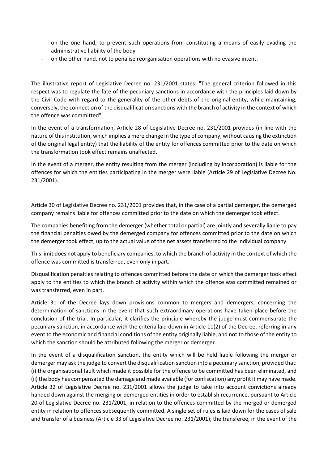- on the one hand, to prevent such operations from constituting a means of easily evading the administrative liability of the body
- on the other hand, not to penalise reorganisation operations with no evasive intent.

The illustrative report of Legislative Decree no. 231/2001 states: "The general criterion followed in this respect was to regulate the fate of the pecuniary sanctions in accordance with the principles laid down by the Civil Code with regard to the generality of the other debts of the original entity, while maintaining, conversely, the connection of the disqualification sanctions with the branch of activity in the context of which the offence was committed".

In the event of a transformation, Article 28 of Legislative Decree no. 231/2001 provides (in line with the nature of this institution, which implies a mere change in the type of company, without causing the extinction of the original legal entity) that the liability of the entity for offences committed prior to the date on which the transformation took effect remains unaffected.

In the event of a merger, the entity resulting from the merger (including by incorporation) is liable for the offences for which the entities participating in the merger were liable (Article 29 of Legislative Decree No. 231/2001).

Article 30 of Legislative Decree no. 231/2001 provides that, in the case of a partial demerger, the demerged company remains liable for offences committed prior to the date on which the demerger took effect.

The companies benefiting from the demerger (whether total or partial) are jointly and severally liable to pay the financial penalties owed by the demerged company for offences committed prior to the date on which the demerger took effect, up to the actual value of the net assets transferred to the individual company.

This limit does not apply to beneficiary companies, to which the branch of activity in the context of which the offence was committed is transferred, even only in part.

Disqualification penalties relating to offences committed before the date on which the demerger took effect apply to the entities to which the branch of activity within which the offence was committed remained or was transferred, even in part.

Article 31 of the Decree lays down provisions common to mergers and demergers, concerning the determination of sanctions in the event that such extraordinary operations have taken place before the conclusion of the trial. In particular, it clarifies the principle whereby the judge must commensurate the pecuniary sanction, in accordance with the criteria laid down in Article 11(2) of the Decree, referring in any event to the economic and financial conditions of the entity originally liable, and not to those of the entity to which the sanction should be attributed following the merger or demerger.

In the event of a disqualification sanction, the entity which will be held liable following the merger or demerger may ask the judge to convert the disqualification sanction into a pecuniary sanction, provided that: (i) the organisational fault which made it possible for the offence to be committed has been eliminated, and (ii) the body has compensated the damage and made available (for confiscation) any profit it may have made. Article 32 of Legislative Decree no. 231/2001 allows the judge to take into account convictions already handed down against the merging or demerged entities in order to establish recurrence, pursuant to Article 20 of Legislative Decree no. 231/2001, in relation to the offences committed by the merged or demerged entity in relation to offences subsequently committed. A single set of rules is laid down for the cases of sale and transfer of a business (Article 33 of Legislative Decree no. 231/2001); the transferee, in the event of the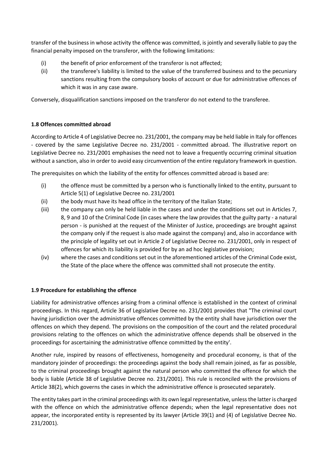transfer of the business in whose activity the offence was committed, is jointly and severally liable to pay the financial penalty imposed on the transferor, with the following limitations:

- (i) the benefit of prior enforcement of the transferor is not affected;
- (ii) the transferee's liability is limited to the value of the transferred business and to the pecuniary sanctions resulting from the compulsory books of account or due for administrative offences of which it was in any case aware.

Conversely, disqualification sanctions imposed on the transferor do not extend to the transferee.

## **1.8 Offences committed abroad**

According to Article 4 of Legislative Decree no. 231/2001, the company may be held liable in Italy for offences - covered by the same Legislative Decree no. 231/2001 - committed abroad. The illustrative report on Legislative Decree no. 231/2001 emphasises the need not to leave a frequently occurring criminal situation without a sanction, also in order to avoid easy circumvention of the entire regulatory framework in question.

The prerequisites on which the liability of the entity for offences committed abroad is based are:

- (i) the offence must be committed by a person who is functionally linked to the entity, pursuant to Article 5(1) of Legislative Decree no. 231/2001
- (ii) the body must have its head office in the territory of the Italian State;
- (iii) the company can only be held liable in the cases and under the conditions set out in Articles 7, 8, 9 and 10 of the Criminal Code (in cases where the law provides that the guilty party - a natural person - is punished at the request of the Minister of Justice, proceedings are brought against the company only if the request is also made against the company) and, also in accordance with the principle of legality set out in Article 2 of Legislative Decree no. 231/2001, only in respect of offences for which its liability is provided for by an ad hoc legislative provision;
- (iv) where the cases and conditions set out in the aforementioned articles of the Criminal Code exist, the State of the place where the offence was committed shall not prosecute the entity.

# **1.9 Procedure for establishing the offence**

Liability for administrative offences arising from a criminal offence is established in the context of criminal proceedings. In this regard, Article 36 of Legislative Decree no. 231/2001 provides that "The criminal court having jurisdiction over the administrative offences committed by the entity shall have jurisdiction over the offences on which they depend. The provisions on the composition of the court and the related procedural provisions relating to the offences on which the administrative offence depends shall be observed in the proceedings for ascertaining the administrative offence committed by the entity'.

Another rule, inspired by reasons of effectiveness, homogeneity and procedural economy, is that of the mandatory joinder of proceedings: the proceedings against the body shall remain joined, as far as possible, to the criminal proceedings brought against the natural person who committed the offence for which the body is liable (Article 38 of Legislative Decree no. 231/2001). This rule is reconciled with the provisions of Article 38(2), which governs the cases in which the administrative offence is prosecuted separately.

The entity takes part in the criminal proceedings with its own legal representative, unless the latter is charged with the offence on which the administrative offence depends; when the legal representative does not appear, the incorporated entity is represented by its lawyer (Article 39(1) and (4) of Legislative Decree No. 231/2001).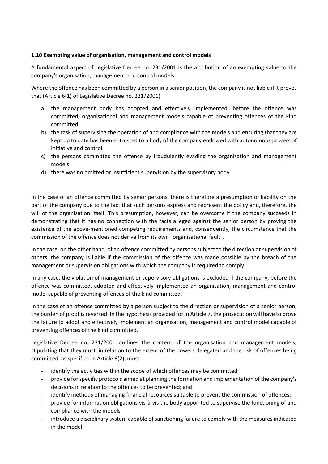# **1.10 Exempting value of organisation, management and control models**

A fundamental aspect of Legislative Decree no. 231/2001 is the attribution of an exempting value to the company's organisation, management and control models.

Where the offence has been committed by a person in a senior position, the company is not liable if it proves that (Article 6(1) of Legislative Decree no. 231/2001)

- a) the management body has adopted and effectively implemented, before the offence was committed, organisational and management models capable of preventing offences of the kind committed
- b) the task of supervising the operation of and compliance with the models and ensuring that they are kept up to date has been entrusted to a body of the company endowed with autonomous powers of initiative and control
- c) the persons committed the offence by fraudulently evading the organisation and management models
- d) there was no omitted or insufficient supervision by the supervisory body.

In the case of an offence committed by senior persons, there is therefore a presumption of liability on the part of the company due to the fact that such persons express and represent the policy and, therefore, the will of the organisation itself. This presumption, however, can be overcome if the company succeeds in demonstrating that it has no connection with the facts alleged against the senior person by proving the existence of the above-mentioned competing requirements and, consequently, the circumstance that the commission of the offence does not derive from its own "organisational fault".

In the case, on the other hand, of an offence committed by persons subject to the direction or supervision of others, the company is liable if the commission of the offence was made possible by the breach of the management or supervision obligations with which the company is required to comply.

In any case, the violation of management or supervisory obligations is excluded if the company, before the offence was committed, adopted and effectively implemented an organisation, management and control model capable of preventing offences of the kind committed.

In the case of an offence committed by a person subject to the direction or supervision of a senior person, the burden of proof is reversed. In the hypothesis provided for in Article 7, the prosecution will have to prove the failure to adopt and effectively implement an organisation, management and control model capable of preventing offences of the kind committed.

Legislative Decree no. 231/2001 outlines the content of the organisation and management models, stipulating that they must, in relation to the extent of the powers delegated and the risk of offences being committed, as specified in Article 6(2), must

- identify the activities within the scope of which offences may be committed
- provide for specific protocols aimed at planning the formation and implementation of the company's decisions in relation to the offences to be prevented; and
- identify methods of managing financial resources suitable to prevent the commission of offences;
- provide for information obligations vis-à-vis the body appointed to supervise the functioning of and compliance with the models
- introduce a disciplinary system capable of sanctioning failure to comply with the measures indicated in the model.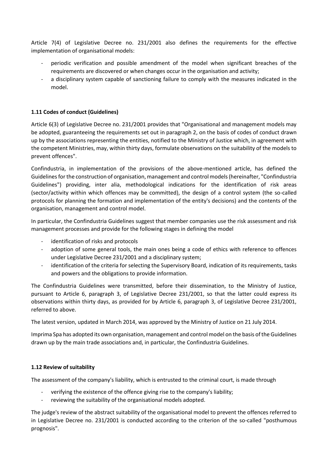Article 7(4) of Legislative Decree no. 231/2001 also defines the requirements for the effective implementation of organisational models:

- periodic verification and possible amendment of the model when significant breaches of the requirements are discovered or when changes occur in the organisation and activity;
- a disciplinary system capable of sanctioning failure to comply with the measures indicated in the model.

# **1.11 Codes of conduct (Guidelines)**

Article 6(3) of Legislative Decree no. 231/2001 provides that "Organisational and management models may be adopted, guaranteeing the requirements set out in paragraph 2, on the basis of codes of conduct drawn up by the associations representing the entities, notified to the Ministry of Justice which, in agreement with the competent Ministries, may, within thirty days, formulate observations on the suitability of the models to prevent offences".

Confindustria, in implementation of the provisions of the above-mentioned article, has defined the Guidelines for the construction of organisation, management and control models (hereinafter, "Confindustria Guidelines") providing, inter alia, methodological indications for the identification of risk areas (sector/activity within which offences may be committed), the design of a control system (the so-called protocols for planning the formation and implementation of the entity's decisions) and the contents of the organisation, management and control model.

In particular, the Confindustria Guidelines suggest that member companies use the risk assessment and risk management processes and provide for the following stages in defining the model

- identification of risks and protocols
- adoption of some general tools, the main ones being a code of ethics with reference to offences under Legislative Decree 231/2001 and a disciplinary system;
- identification of the criteria for selecting the Supervisory Board, indication of its requirements, tasks and powers and the obligations to provide information.

The Confindustria Guidelines were transmitted, before their dissemination, to the Ministry of Justice, pursuant to Article 6, paragraph 3, of Legislative Decree 231/2001, so that the latter could express its observations within thirty days, as provided for by Article 6, paragraph 3, of Legislative Decree 231/2001, referred to above.

The latest version, updated in March 2014, was approved by the Ministry of Justice on 21 July 2014.

Imprima Spa has adopted its own organisation, management and control model on the basis of the Guidelines drawn up by the main trade associations and, in particular, the Confindustria Guidelines.

# **1.12 Review of suitability**

The assessment of the company's liability, which is entrusted to the criminal court, is made through

- verifying the existence of the offence giving rise to the company's liability;
- reviewing the suitability of the organisational models adopted.

The judge's review of the abstract suitability of the organisational model to prevent the offences referred to in Legislative Decree no. 231/2001 is conducted according to the criterion of the so-called "posthumous prognosis".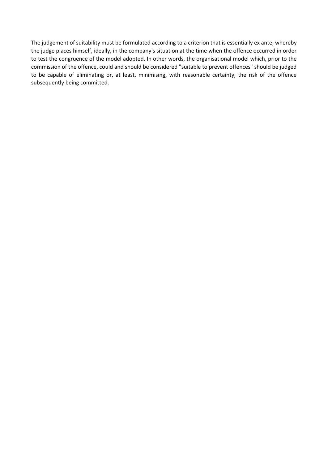The judgement of suitability must be formulated according to a criterion that is essentially ex ante, whereby the judge places himself, ideally, in the company's situation at the time when the offence occurred in order to test the congruence of the model adopted. In other words, the organisational model which, prior to the commission of the offence, could and should be considered "suitable to prevent offences" should be judged to be capable of eliminating or, at least, minimising, with reasonable certainty, the risk of the offence subsequently being committed.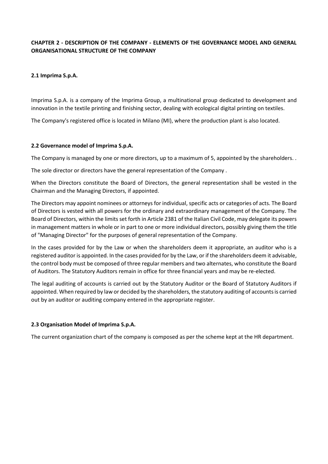# **CHAPTER 2 - DESCRIPTION OF THE COMPANY - ELEMENTS OF THE GOVERNANCE MODEL AND GENERAL ORGANISATIONAL STRUCTURE OF THE COMPANY**

## **2.1 Imprima S.p.A.**

Imprima S.p.A. is a company of the Imprima Group, a multinational group dedicated to development and innovation in the textile printing and finishing sector, dealing with ecological digital printing on textiles.

The Company's registered office is located in Milano (MI), where the production plant is also located.

#### **2.2 Governance model of Imprima S.p.A.**

The Company is managed by one or more directors, up to a maximum of 5, appointed by the shareholders. .

The sole director or directors have the general representation of the Company .

When the Directors constitute the Board of Directors, the general representation shall be vested in the Chairman and the Managing Directors, if appointed.

The Directors may appoint nominees or attorneys for individual, specific acts or categories of acts. The Board of Directors is vested with all powers for the ordinary and extraordinary management of the Company. The Board of Directors, within the limits set forth in Article 2381 of the Italian Civil Code, may delegate its powers in management matters in whole or in part to one or more individual directors, possibly giving them the title of "Managing Director" for the purposes of general representation of the Company.

In the cases provided for by the Law or when the shareholders deem it appropriate, an auditor who is a registered auditor is appointed. In the cases provided for by the Law, or if the shareholders deem it advisable, the control body must be composed of three regular members and two alternates, who constitute the Board of Auditors. The Statutory Auditors remain in office for three financial years and may be re-elected.

The legal auditing of accounts is carried out by the Statutory Auditor or the Board of Statutory Auditors if appointed. When required by law or decided by the shareholders, the statutory auditing of accounts is carried out by an auditor or auditing company entered in the appropriate register.

#### **2.3 Organisation Model of Imprima S.p.A.**

The current organization chart of the company is composed as per the scheme kept at the HR department.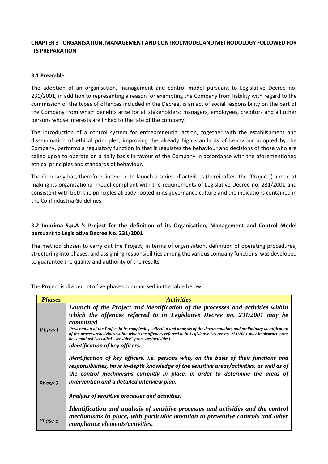# **CHAPTER 3 - ORGANISATION, MANAGEMENT AND CONTROL MODEL AND METHODOLOGY FOLLOWED FOR ITS PREPARATION**

## **3.1 Preamble**

The adoption of an organisation, management and control model pursuant to Legislative Decree no. 231/2001, in addition to representing a reason for exempting the Company from liability with regard to the commission of the types of offences included in the Decree, is an act of social responsibility on the part of the Company from which benefits arise for all stakeholders: managers, employees, creditors and all other persons whose interests are linked to the fate of the company.

The introduction of a control system for entrepreneurial action, together with the establishment and dissemination of ethical principles, improving the already high standards of behaviour adopted by the Company, performs a regulatory function in that it regulates the behaviour and decisions of those who are called upon to operate on a daily basis in favour of the Company in accordance with the aforementioned ethical principles and standards of behaviour.

The Company has, therefore, intended to launch a series of activities (hereinafter, the "Project") aimed at making its organisational model compliant with the requirements of Legislative Decree no. 231/2001 and consistent with both the principles already rooted in its governance culture and the indications contained in the Confindustria Guidelines.

# **3.2 Imprima S.p.A 's Project for the definition of its Organisation, Management and Control Model pursuant to Legislative Decree No. 231/2001**

The method chosen to carry out the Project, in terms of organisation, definition of operating procedures, structuring into phases, and assig ning responsibilities among the various company functions, was developed to guarantee the quality and authority of the results.

| <b>Phases</b> | <i><u><b>Activities</b></u></i>                                                                                                                                                                                                                                                                                         |
|---------------|-------------------------------------------------------------------------------------------------------------------------------------------------------------------------------------------------------------------------------------------------------------------------------------------------------------------------|
|               | Launch of the Project and identification of the processes and activities within                                                                                                                                                                                                                                         |
|               | which the offences referred to in Legislative Decree no. 231/2001 may be                                                                                                                                                                                                                                                |
|               | <i>committed.</i>                                                                                                                                                                                                                                                                                                       |
| <i>Phase1</i> | Presentation of the Project in its complexity, collection and analysis of the documentation, and preliminary identification<br>of the processes/activities within which the offences referred to in Legislative Decree no. 231/2001 may in abstract terms<br>be committed (so-called "sensitive" processes/activities). |
|               | Identification of key officers.                                                                                                                                                                                                                                                                                         |
| Phase 2       | Identification of key officers, i.e. persons who, on the basis of their functions and<br>responsibilities, have in-depth knowledge of the sensitive areas/activities, as well as of<br>the control mechanisms currently in place, in order to determine the areas of<br>intervention and a detailed interview plan.     |
|               | Analysis of sensitive processes and activities.                                                                                                                                                                                                                                                                         |
| Phase 3       | Identification and analysis of sensitive processes and activities and the control<br>mechanisms in place, with particular attention to preventive controls and other<br>compliance elements/activities.                                                                                                                 |

The Project is divided into five phases summarised in the table below.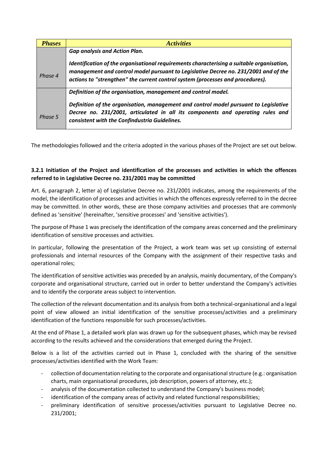| <b>Phases</b> | <b>Activities</b>                                                                                                                                                                                                                                                  |
|---------------|--------------------------------------------------------------------------------------------------------------------------------------------------------------------------------------------------------------------------------------------------------------------|
|               | <b>Gap analysis and Action Plan.</b>                                                                                                                                                                                                                               |
| Phase 4       | Identification of the organisational requirements characterising a suitable organisation,<br>management and control model pursuant to Legislative Decree no. 231/2001 and of the<br>actions to "strengthen" the current control system (processes and procedures). |
|               | Definition of the organisation, management and control model.                                                                                                                                                                                                      |
| Phase 5       | Definition of the organisation, management and control model pursuant to Legislative<br>Decree no. 231/2001, articulated in all its components and operating rules and<br>consistent with the Confindustria Guidelines.                                            |

The methodologies followed and the criteria adopted in the various phases of the Project are set out below.

# **3.2.1 Initiation of the Project and identification of the processes and activities in which the offences referred to in Legislative Decree no. 231/2001 may be committed**

Art. 6, paragraph 2, letter a) of Legislative Decree no. 231/2001 indicates, among the requirements of the model, the identification of processes and activities in which the offences expressly referred to in the decree may be committed. In other words, these are those company activities and processes that are commonly defined as 'sensitive' (hereinafter, 'sensitive processes' and 'sensitive activities').

The purpose of Phase 1 was precisely the identification of the company areas concerned and the preliminary identification of sensitive processes and activities.

In particular, following the presentation of the Project, a work team was set up consisting of external professionals and internal resources of the Company with the assignment of their respective tasks and operational roles;

The identification of sensitive activities was preceded by an analysis, mainly documentary, of the Company's corporate and organisational structure, carried out in order to better understand the Company's activities and to identify the corporate areas subject to intervention.

The collection of the relevant documentation and its analysis from both a technical-organisational and a legal point of view allowed an initial identification of the sensitive processes/activities and a preliminary identification of the functions responsible for such processes/activities.

At the end of Phase 1, a detailed work plan was drawn up for the subsequent phases, which may be revised according to the results achieved and the considerations that emerged during the Project.

Below is a list of the activities carried out in Phase 1, concluded with the sharing of the sensitive processes/activities identified with the Work Team:

- collection of documentation relating to the corporate and organisational structure (e.g.: organisation charts, main organisational procedures, job description, powers of attorney, etc.);
- analysis of the documentation collected to understand the Company's business model;
- identification of the company areas of activity and related functional responsibilities;
- preliminary identification of sensitive processes/activities pursuant to Legislative Decree no. 231/2001;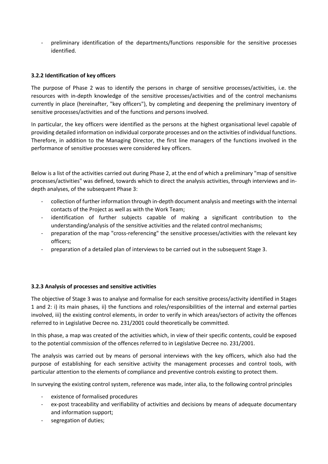- preliminary identification of the departments/functions responsible for the sensitive processes identified.

# **3.2.2 Identification of key officers**

The purpose of Phase 2 was to identify the persons in charge of sensitive processes/activities, i.e. the resources with in-depth knowledge of the sensitive processes/activities and of the control mechanisms currently in place (hereinafter, "key officers"), by completing and deepening the preliminary inventory of sensitive processes/activities and of the functions and persons involved.

In particular, the key officers were identified as the persons at the highest organisational level capable of providing detailed information on individual corporate processes and on the activities of individual functions. Therefore, in addition to the Managing Director, the first line managers of the functions involved in the performance of sensitive processes were considered key officers.

Below is a list of the activities carried out during Phase 2, at the end of which a preliminary "map of sensitive processes/activities" was defined, towards which to direct the analysis activities, through interviews and indepth analyses, of the subsequent Phase 3:

- collection of further information through in-depth document analysis and meetings with the internal contacts of the Project as well as with the Work Team;
- identification of further subjects capable of making a significant contribution to the understanding/analysis of the sensitive activities and the related control mechanisms;
- preparation of the map "cross-referencing" the sensitive processes/activities with the relevant key officers;
- preparation of a detailed plan of interviews to be carried out in the subsequent Stage 3.

# **3.2.3 Analysis of processes and sensitive activities**

The objective of Stage 3 was to analyse and formalise for each sensitive process/activity identified in Stages 1 and 2: i) its main phases, ii) the functions and roles/responsibilities of the internal and external parties involved, iii) the existing control elements, in order to verify in which areas/sectors of activity the offences referred to in Legislative Decree no. 231/2001 could theoretically be committed.

In this phase, a map was created of the activities which, in view of their specific contents, could be exposed to the potential commission of the offences referred to in Legislative Decree no. 231/2001.

The analysis was carried out by means of personal interviews with the key officers, which also had the purpose of establishing for each sensitive activity the management processes and control tools, with particular attention to the elements of compliance and preventive controls existing to protect them.

In surveying the existing control system, reference was made, inter alia, to the following control principles

- existence of formalised procedures
- ex-post traceability and verifiability of activities and decisions by means of adequate documentary and information support;
- segregation of duties: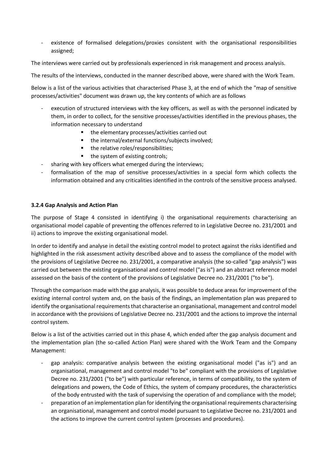existence of formalised delegations/proxies consistent with the organisational responsibilities assigned;

The interviews were carried out by professionals experienced in risk management and process analysis.

The results of the interviews, conducted in the manner described above, were shared with the Work Team.

Below is a list of the various activities that characterised Phase 3, at the end of which the "map of sensitive processes/activities" document was drawn up, the key contents of which are as follows

- execution of structured interviews with the key officers, as well as with the personnel indicated by them, in order to collect, for the sensitive processes/activities identified in the previous phases, the information necessary to understand
	- the elementary processes/activities carried out
	- the internal/external functions/subjects involved;
	- the relative roles/responsibilities;
	- the system of existing controls;
- sharing with key officers what emerged during the interviews;
- formalisation of the map of sensitive processes/activities in a special form which collects the information obtained and any criticalities identified in the controls of the sensitive process analysed.

## **3.2.4 Gap Analysis and Action Plan**

The purpose of Stage 4 consisted in identifying i) the organisational requirements characterising an organisational model capable of preventing the offences referred to in Legislative Decree no. 231/2001 and ii) actions to improve the existing organisational model.

In order to identify and analyse in detail the existing control model to protect against the risks identified and highlighted in the risk assessment activity described above and to assess the compliance of the model with the provisions of Legislative Decree no. 231/2001, a comparative analysis (the so-called "gap analysis") was carried out between the existing organisational and control model ("as is") and an abstract reference model assessed on the basis of the content of the provisions of Legislative Decree no. 231/2001 ("to be").

Through the comparison made with the gap analysis, it was possible to deduce areas for improvement of the existing internal control system and, on the basis of the findings, an implementation plan was prepared to identify the organisational requirements that characterise an organisational, management and control model in accordance with the provisions of Legislative Decree no. 231/2001 and the actions to improve the internal control system.

Below is a list of the activities carried out in this phase 4, which ended after the gap analysis document and the implementation plan (the so-called Action Plan) were shared with the Work Team and the Company Management:

- gap analysis: comparative analysis between the existing organisational model ("as is") and an organisational, management and control model "to be" compliant with the provisions of Legislative Decree no. 231/2001 ("to be") with particular reference, in terms of compatibility, to the system of delegations and powers, the Code of Ethics, the system of company procedures, the characteristics of the body entrusted with the task of supervising the operation of and compliance with the model;
- preparation of an implementation plan for identifying the organisational requirements characterising an organisational, management and control model pursuant to Legislative Decree no. 231/2001 and the actions to improve the current control system (processes and procedures).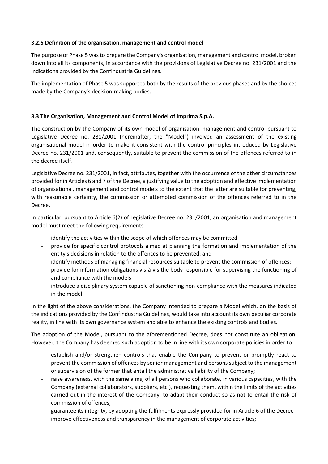# **3.2.5 Definition of the organisation, management and control model**

The purpose of Phase 5 was to prepare the Company's organisation, management and control model, broken down into all its components, in accordance with the provisions of Legislative Decree no. 231/2001 and the indications provided by the Confindustria Guidelines.

The implementation of Phase 5 was supported both by the results of the previous phases and by the choices made by the Company's decision-making bodies.

## **3.3 The Organisation, Management and Control Model of Imprima S.p.A.**

The construction by the Company of its own model of organisation, management and control pursuant to Legislative Decree no. 231/2001 (hereinafter, the "Model") involved an assessment of the existing organisational model in order to make it consistent with the control principles introduced by Legislative Decree no. 231/2001 and, consequently, suitable to prevent the commission of the offences referred to in the decree itself.

Legislative Decree no. 231/2001, in fact, attributes, together with the occurrence of the other circumstances provided for in Articles 6 and 7 of the Decree, a justifying value to the adoption and effective implementation of organisational, management and control models to the extent that the latter are suitable for preventing, with reasonable certainty, the commission or attempted commission of the offences referred to in the Decree.

In particular, pursuant to Article 6(2) of Legislative Decree no. 231/2001, an organisation and management model must meet the following requirements

- identify the activities within the scope of which offences may be committed
- provide for specific control protocols aimed at planning the formation and implementation of the entity's decisions in relation to the offences to be prevented; and
- identify methods of managing financial resources suitable to prevent the commission of offences;
- provide for information obligations vis-à-vis the body responsible for supervising the functioning of and compliance with the models
- introduce a disciplinary system capable of sanctioning non-compliance with the measures indicated in the model.

In the light of the above considerations, the Company intended to prepare a Model which, on the basis of the indications provided by the Confindustria Guidelines, would take into account its own peculiar corporate reality, in line with its own governance system and able to enhance the existing controls and bodies.

The adoption of the Model, pursuant to the aforementioned Decree, does not constitute an obligation. However, the Company has deemed such adoption to be in line with its own corporate policies in order to

- establish and/or strengthen controls that enable the Company to prevent or promptly react to prevent the commission of offences by senior management and persons subject to the management or supervision of the former that entail the administrative liability of the Company;
- raise awareness, with the same aims, of all persons who collaborate, in various capacities, with the Company (external collaborators, suppliers, etc.), requesting them, within the limits of the activities carried out in the interest of the Company, to adapt their conduct so as not to entail the risk of commission of offences;
- guarantee its integrity, by adopting the fulfilments expressly provided for in Article 6 of the Decree
- improve effectiveness and transparency in the management of corporate activities;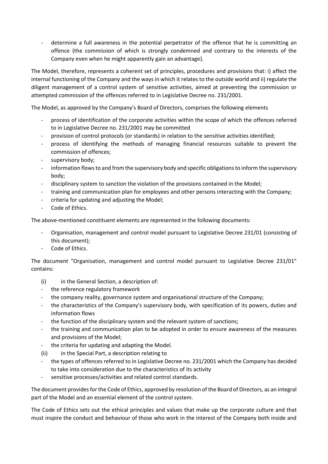- determine a full awareness in the potential perpetrator of the offence that he is committing an offence (the commission of which is strongly condemned and contrary to the interests of the Company even when he might apparently gain an advantage).

The Model, therefore, represents a coherent set of principles, procedures and provisions that: i) affect the internal functioning of the Company and the ways in which it relates to the outside world and ii) regulate the diligent management of a control system of sensitive activities, aimed at preventing the commission or attempted commission of the offences referred to in Legislative Decree no. 231/2001.

The Model, as approved by the Company's Board of Directors, comprises the following elements

- process of identification of the corporate activities within the scope of which the offences referred to in Legislative Decree no. 231/2001 may be committed
- provision of control protocols (or standards) in relation to the sensitive activities identified;
- process of identifying the methods of managing financial resources suitable to prevent the commission of offences;
- supervisory body;
- information flows to and from the supervisory body and specific obligations to inform the supervisory body;
- disciplinary system to sanction the violation of the provisions contained in the Model;
- training and communication plan for employees and other persons interacting with the Company;
- criteria for updating and adjusting the Model;
- Code of Ethics.

The above-mentioned constituent elements are represented in the following documents:

- Organisation, management and control model pursuant to Legislative Decree 231/01 (consisting of this document);
- Code of Ethics.

The document "Organisation, management and control model pursuant to Legislative Decree 231/01" contains:

- (i) in the General Section, a description of:
- the reference regulatory framework
- the company reality, governance system and organisational structure of the Company;
- the characteristics of the Company's supervisory body, with specification of its powers, duties and information flows
- the function of the disciplinary system and the relevant system of sanctions;
- the training and communication plan to be adopted in order to ensure awareness of the measures and provisions of the Model;
- the criteria for updating and adapting the Model.
- (ii) in the Special Part, a description relating to
- the types of offences referred to in Legislative Decree no. 231/2001 which the Company has decided to take into consideration due to the characteristics of its activity
- sensitive processes/activities and related control standards.

The document provides for the Code of Ethics, approved by resolution of the Board of Directors, as an integral part of the Model and an essential element of the control system.

The Code of Ethics sets out the ethical principles and values that make up the corporate culture and that must inspire the conduct and behaviour of those who work in the interest of the Company both inside and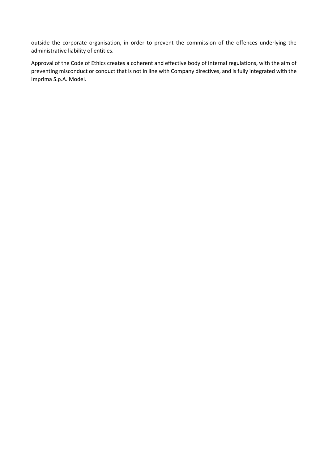outside the corporate organisation, in order to prevent the commission of the offences underlying the administrative liability of entities.

Approval of the Code of Ethics creates a coherent and effective body of internal regulations, with the aim of preventing misconduct or conduct that is not in line with Company directives, and is fully integrated with the Imprima S.p.A. Model.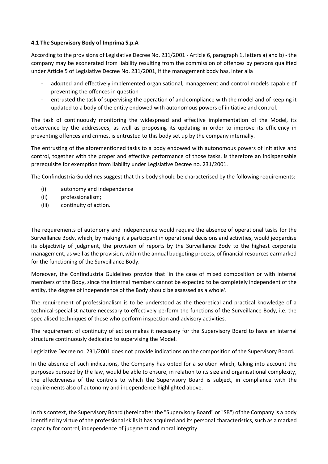# **4.1 The Supervisory Body of Imprima S.p.A**

According to the provisions of Legislative Decree No. 231/2001 - Article 6, paragraph 1, letters a) and b) - the company may be exonerated from liability resulting from the commission of offences by persons qualified under Article 5 of Legislative Decree No. 231/2001, if the management body has, inter alia

- adopted and effectively implemented organisational, management and control models capable of preventing the offences in question
- entrusted the task of supervising the operation of and compliance with the model and of keeping it updated to a body of the entity endowed with autonomous powers of initiative and control.

The task of continuously monitoring the widespread and effective implementation of the Model, its observance by the addressees, as well as proposing its updating in order to improve its efficiency in preventing offences and crimes, is entrusted to this body set up by the company internally.

The entrusting of the aforementioned tasks to a body endowed with autonomous powers of initiative and control, together with the proper and effective performance of those tasks, is therefore an indispensable prerequisite for exemption from liability under Legislative Decree no. 231/2001.

The Confindustria Guidelines suggest that this body should be characterised by the following requirements:

- (i) autonomy and independence
- (ii) professionalism;
- (iii) continuity of action.

The requirements of autonomy and independence would require the absence of operational tasks for the Surveillance Body, which, by making it a participant in operational decisions and activities, would jeopardise its objectivity of judgment, the provision of reports by the Surveillance Body to the highest corporate management, as well as the provision, within the annual budgeting process, of financial resources earmarked for the functioning of the Surveillance Body.

Moreover, the Confindustria Guidelines provide that 'in the case of mixed composition or with internal members of the Body, since the internal members cannot be expected to be completely independent of the entity, the degree of independence of the Body should be assessed as a whole'.

The requirement of professionalism is to be understood as the theoretical and practical knowledge of a technical-specialist nature necessary to effectively perform the functions of the Surveillance Body, i.e. the specialised techniques of those who perform inspection and advisory activities.

The requirement of continuity of action makes it necessary for the Supervisory Board to have an internal structure continuously dedicated to supervising the Model.

Legislative Decree no. 231/2001 does not provide indications on the composition of the Supervisory Board.

In the absence of such indications, the Company has opted for a solution which, taking into account the purposes pursued by the law, would be able to ensure, in relation to its size and organisational complexity, the effectiveness of the controls to which the Supervisory Board is subject, in compliance with the requirements also of autonomy and independence highlighted above.

In this context, the Supervisory Board (hereinafter the "Supervisory Board" or "SB") of the Company is a body identified by virtue of the professional skills it has acquired and its personal characteristics, such as a marked capacity for control, independence of judgment and moral integrity.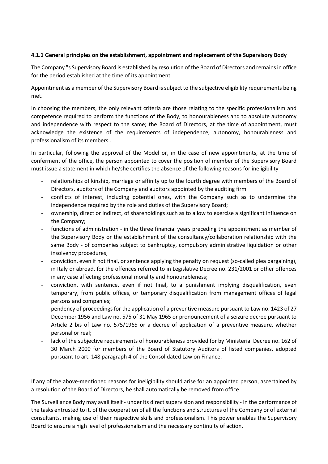# **4.1.1 General principles on the establishment, appointment and replacement of the Supervisory Body**

The Company "s Supervisory Board is established by resolution of the Board of Directors and remains in office for the period established at the time of its appointment.

Appointment as a member of the Supervisory Board is subject to the subjective eligibility requirements being met.

In choosing the members, the only relevant criteria are those relating to the specific professionalism and competence required to perform the functions of the Body, to honourableness and to absolute autonomy and independence with respect to the same; the Board of Directors, at the time of appointment, must acknowledge the existence of the requirements of independence, autonomy, honourableness and professionalism of its members .

In particular, following the approval of the Model or, in the case of new appointments, at the time of conferment of the office, the person appointed to cover the position of member of the Supervisory Board must issue a statement in which he/she certifies the absence of the following reasons for ineligibility

- relationships of kinship, marriage or affinity up to the fourth degree with members of the Board of Directors, auditors of the Company and auditors appointed by the auditing firm
- conflicts of interest, including potential ones, with the Company such as to undermine the independence required by the role and duties of the Supervisory Board;
- ownership, direct or indirect, of shareholdings such as to allow to exercise a significant influence on the Company;
- functions of administration in the three financial years preceding the appointment as member of the Supervisory Body or the establishment of the consultancy/collaboration relationship with the same Body - of companies subject to bankruptcy, compulsory administrative liquidation or other insolvency procedures;
- conviction, even if not final, or sentence applying the penalty on request (so-called plea bargaining), in Italy or abroad, for the offences referred to in Legislative Decree no. 231/2001 or other offences in any case affecting professional morality and honourableness;
- conviction, with sentence, even if not final, to a punishment implying disqualification, even temporary, from public offices, or temporary disqualification from management offices of legal persons and companies;
- pendency of proceedings for the application of a preventive measure pursuant to Law no. 1423 of 27 December 1956 and Law no. 575 of 31 May 1965 or pronouncement of a seizure decree pursuant to Article 2 bis of Law no. 575/1965 or a decree of application of a preventive measure, whether personal or real;
- lack of the subjective requirements of honourableness provided for by Ministerial Decree no. 162 of 30 March 2000 for members of the Board of Statutory Auditors of listed companies, adopted pursuant to art. 148 paragraph 4 of the Consolidated Law on Finance.

If any of the above-mentioned reasons for ineligibility should arise for an appointed person, ascertained by a resolution of the Board of Directors, he shall automatically be removed from office.

The Surveillance Body may avail itself - under its direct supervision and responsibility - in the performance of the tasks entrusted to it, of the cooperation of all the functions and structures of the Company or of external consultants, making use of their respective skills and professionalism. This power enables the Supervisory Board to ensure a high level of professionalism and the necessary continuity of action.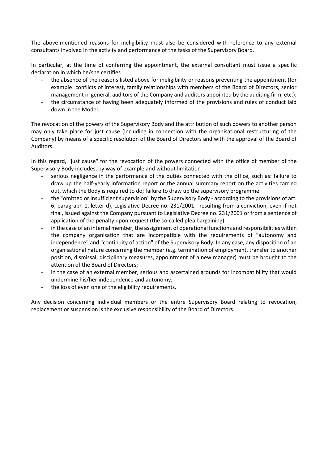The above-mentioned reasons for ineligibility must also be considered with reference to any external consultants involved in the activity and performance of the tasks of the Supervisory Board.

In particular, at the time of conferring the appointment, the external consultant must issue a specific declaration in which he/she certifies

- the absence of the reasons listed above for ineligibility or reasons preventing the appointment (for example: conflicts of interest, family relationships with members of the Board of Directors, senior management in general, auditors of the Company and auditors appointed by the auditing firm, etc.);
- the circumstance of having been adequately informed of the provisions and rules of conduct laid down in the Model.

The revocation of the powers of the Supervisory Body and the attribution of such powers to another person may only take place for just cause (including in connection with the organisational restructuring of the Company) by means of a specific resolution of the Board of Directors and with the approval of the Board of Auditors.

In this regard, "just cause" for the revocation of the powers connected with the office of member of the Supervisory Body includes, by way of example and without limitation

- serious negligence in the performance of the duties connected with the office, such as: failure to draw up the half-yearly information report or the annual summary report on the activities carried out, which the Body is required to do; failure to draw up the supervisory programme
- the "omitted or insufficient supervision" by the Supervisory Body according to the provisions of art. 6, paragraph 1, letter d), Legislative Decree no. 231/2001 - resulting from a conviction, even if not final, issued against the Company pursuant to Legislative Decree no. 231/2001 or from a sentence of application of the penalty upon request (the so-called plea bargaining);
- in the case of an internal member, the assignment of operational functions and responsibilities within the company organisation that are incompatible with the requirements of "autonomy and independence" and "continuity of action" of the Supervisory Body. In any case, any disposition of an organisational nature concerning the member (e.g. termination of employment, transfer to another position, dismissal, disciplinary measures, appointment of a new manager) must be brought to the attention of the Board of Directors;
- in the case of an external member, serious and ascertained grounds for incompatibility that would undermine his/her independence and autonomy;
- the loss of even one of the eligibility requirements.

Any decision concerning individual members or the entire Supervisory Board relating to revocation, replacement or suspension is the exclusive responsibility of the Board of Directors.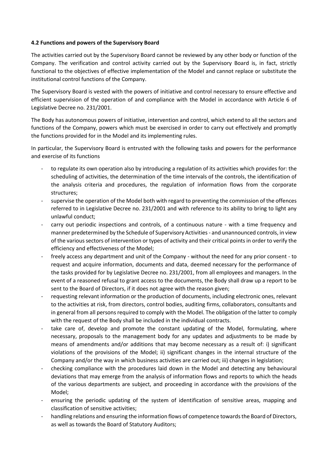## **4.2 Functions and powers of the Supervisory Board**

The activities carried out by the Supervisory Board cannot be reviewed by any other body or function of the Company. The verification and control activity carried out by the Supervisory Board is, in fact, strictly functional to the objectives of effective implementation of the Model and cannot replace or substitute the institutional control functions of the Company.

The Supervisory Board is vested with the powers of initiative and control necessary to ensure effective and efficient supervision of the operation of and compliance with the Model in accordance with Article 6 of Legislative Decree no. 231/2001.

The Body has autonomous powers of initiative, intervention and control, which extend to all the sectors and functions of the Company, powers which must be exercised in order to carry out effectively and promptly the functions provided for in the Model and its implementing rules.

In particular, the Supervisory Board is entrusted with the following tasks and powers for the performance and exercise of its functions

- to regulate its own operation also by introducing a regulation of its activities which provides for: the scheduling of activities, the determination of the time intervals of the controls, the identification of the analysis criteria and procedures, the regulation of information flows from the corporate structures;
- supervise the operation of the Model both with regard to preventing the commission of the offences referred to in Legislative Decree no. 231/2001 and with reference to its ability to bring to light any unlawful conduct;
- carry out periodic inspections and controls, of a continuous nature with a time frequency and manner predetermined by the Schedule of Supervisory Activities - and unannounced controls, in view of the various sectors of intervention or types of activity and their critical points in order to verify the efficiency and effectiveness of the Model;
- freely access any department and unit of the Company without the need for any prior consent to request and acquire information, documents and data, deemed necessary for the performance of the tasks provided for by Legislative Decree no. 231/2001, from all employees and managers. In the event of a reasoned refusal to grant access to the documents, the Body shall draw up a report to be sent to the Board of Directors, if it does not agree with the reason given;
- requesting relevant information or the production of documents, including electronic ones, relevant to the activities at risk, from directors, control bodies, auditing firms, collaborators, consultants and in general from all persons required to comply with the Model. The obligation of the latter to comply with the request of the Body shall be included in the individual contracts.
- take care of, develop and promote the constant updating of the Model, formulating, where necessary, proposals to the management body for any updates and adjustments to be made by means of amendments and/or additions that may become necessary as a result of: i) significant violations of the provisions of the Model; ii) significant changes in the internal structure of the Company and/or the way in which business activities are carried out; iii) changes in legislation;
- checking compliance with the procedures laid down in the Model and detecting any behavioural deviations that may emerge from the analysis of information flows and reports to which the heads of the various departments are subject, and proceeding in accordance with the provisions of the Model;
- ensuring the periodic updating of the system of identification of sensitive areas, mapping and classification of sensitive activities;
- handling relations and ensuring the information flows of competence towards the Board of Directors, as well as towards the Board of Statutory Auditors;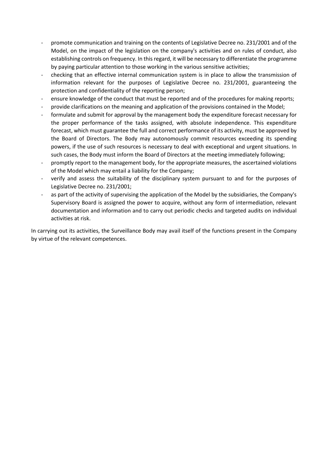- promote communication and training on the contents of Legislative Decree no. 231/2001 and of the Model, on the impact of the legislation on the company's activities and on rules of conduct, also establishing controls on frequency. In this regard, it will be necessary to differentiate the programme by paying particular attention to those working in the various sensitive activities;
- checking that an effective internal communication system is in place to allow the transmission of information relevant for the purposes of Legislative Decree no. 231/2001, guaranteeing the protection and confidentiality of the reporting person;
- ensure knowledge of the conduct that must be reported and of the procedures for making reports;
- provide clarifications on the meaning and application of the provisions contained in the Model;
- formulate and submit for approval by the management body the expenditure forecast necessary for the proper performance of the tasks assigned, with absolute independence. This expenditure forecast, which must guarantee the full and correct performance of its activity, must be approved by the Board of Directors. The Body may autonomously commit resources exceeding its spending powers, if the use of such resources is necessary to deal with exceptional and urgent situations. In such cases, the Body must inform the Board of Directors at the meeting immediately following;
- promptly report to the management body, for the appropriate measures, the ascertained violations of the Model which may entail a liability for the Company;
- verify and assess the suitability of the disciplinary system pursuant to and for the purposes of Legislative Decree no. 231/2001;
- as part of the activity of supervising the application of the Model by the subsidiaries, the Company's Supervisory Board is assigned the power to acquire, without any form of intermediation, relevant documentation and information and to carry out periodic checks and targeted audits on individual activities at risk.

In carrying out its activities, the Surveillance Body may avail itself of the functions present in the Company by virtue of the relevant competences.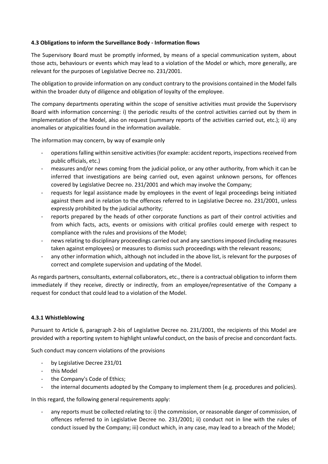# **4.3 Obligations to inform the Surveillance Body - Information flows**

The Supervisory Board must be promptly informed, by means of a special communication system, about those acts, behaviours or events which may lead to a violation of the Model or which, more generally, are relevant for the purposes of Legislative Decree no. 231/2001.

The obligation to provide information on any conduct contrary to the provisions contained in the Model falls within the broader duty of diligence and obligation of loyalty of the employee.

The company departments operating within the scope of sensitive activities must provide the Supervisory Board with information concerning: i) the periodic results of the control activities carried out by them in implementation of the Model, also on request (summary reports of the activities carried out, etc.); ii) any anomalies or atypicalities found in the information available.

The information may concern, by way of example only

- operations falling within sensitive activities (for example: accident reports, inspections received from public officials, etc.)
- measures and/or news coming from the judicial police, or any other authority, from which it can be inferred that investigations are being carried out, even against unknown persons, for offences covered by Legislative Decree no. 231/2001 and which may involve the Company;
- requests for legal assistance made by employees in the event of legal proceedings being initiated against them and in relation to the offences referred to in Legislative Decree no. 231/2001, unless expressly prohibited by the judicial authority;
- reports prepared by the heads of other corporate functions as part of their control activities and from which facts, acts, events or omissions with critical profiles could emerge with respect to compliance with the rules and provisions of the Model;
- news relating to disciplinary proceedings carried out and any sanctions imposed (including measures taken against employees) or measures to dismiss such proceedings with the relevant reasons;
- any other information which, although not included in the above list, is relevant for the purposes of correct and complete supervision and updating of the Model.

As regards partners, consultants, external collaborators, etc., there is a contractual obligation to inform them immediately if they receive, directly or indirectly, from an employee/representative of the Company a request for conduct that could lead to a violation of the Model.

#### **4.3.1 Whistleblowing**

Pursuant to Article 6, paragraph 2-bis of Legislative Decree no. 231/2001, the recipients of this Model are provided with a reporting system to highlight unlawful conduct, on the basis of precise and concordant facts.

Such conduct may concern violations of the provisions

- by Legislative Decree 231/01
- this Model
- the Company's Code of Ethics;
- the internal documents adopted by the Company to implement them (e.g. procedures and policies).

In this regard, the following general requirements apply:

any reports must be collected relating to: i) the commission, or reasonable danger of commission, of offences referred to in Legislative Decree no. 231/2001; ii) conduct not in line with the rules of conduct issued by the Company; iii) conduct which, in any case, may lead to a breach of the Model;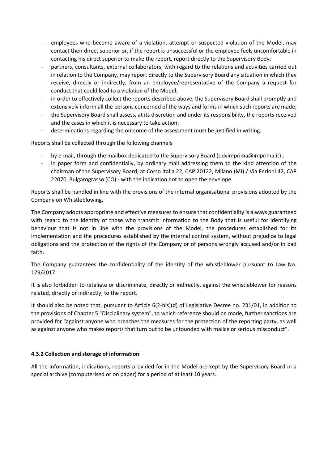- employees who become aware of a violation, attempt or suspected violation of the Model, may contact their direct superior or, if the report is unsuccessful or the employee feels uncomfortable in contacting his direct superior to make the report, report directly to the Supervisory Body;
- partners, consultants, external collaborators, with regard to the relations and activities carried out in relation to the Company, may report directly to the Supervisory Board any situation in which they receive, directly or indirectly, from an employee/representative of the Company a request for conduct that could lead to a violation of the Model;
- in order to effectively collect the reports described above, the Supervisory Board shall promptly and extensively inform all the persons concerned of the ways and forms in which such reports are made;
- the Supervisory Board shall assess, at its discretion and under its responsibility, the reports received and the cases in which it is necessary to take action;
- determinations regarding the outcome of the assessment must be justified in writing.

Reports shall be collected through the following channels

- by e-mail, through the mailbox dedicated to the Supervisory Board (odvimprima@imprima.it) ;
- in paper form and confidentially, by ordinary mail addressing them to the kind attention of the chairman of the Supervisory Board, at Corso Italia 22, CAP 20122, Milano (MI) / Via Ferloni 42, CAP 22070, Bulgarograsso (CO) - with the indication not to open the envelope.

Reports shall be handled in line with the provisions of the internal organisational provisions adopted by the Company on Whistleblowing,

The Company adopts appropriate and effective measures to ensure that confidentiality is always guaranteed with regard to the identity of those who transmit information to the Body that is useful for identifying behaviour that is not in line with the provisions of the Model, the procedures established for its implementation and the procedures established by the internal control system, without prejudice to legal obligations and the protection of the rights of the Company or of persons wrongly accused and/or in bad faith.

The Company guarantees the confidentiality of the identity of the whistleblower pursuant to Law No. 179/2017.

It is also forbidden to retaliate or discriminate, directly or indirectly, against the whistleblower for reasons related, directly or indirectly, to the report.

It should also be noted that, pursuant to Article 6(2-bis)(d) of Legislative Decree no. 231/01, in addition to the provisions of Chapter 5 "Disciplinary system", to which reference should be made, further sanctions are provided for "against anyone who breaches the measures for the protection of the reporting party, as well as against anyone who makes reports that turn out to be unfounded with malice or serious misconduct".

# **4.3.2 Collection and storage of information**

All the information, indications, reports provided for in the Model are kept by the Supervisory Board in a special archive (computerised or on paper) for a period of at least 10 years.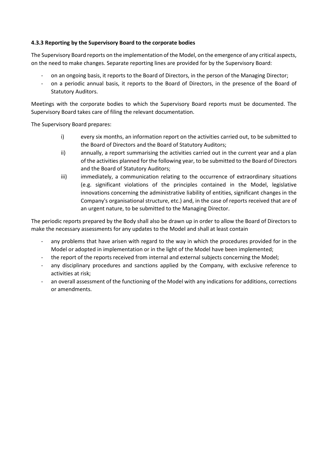# **4.3.3 Reporting by the Supervisory Board to the corporate bodies**

The Supervisory Board reports on the implementation of the Model, on the emergence of any critical aspects, on the need to make changes. Separate reporting lines are provided for by the Supervisory Board:

- on an ongoing basis, it reports to the Board of Directors, in the person of the Managing Director;
- on a periodic annual basis, it reports to the Board of Directors, in the presence of the Board of Statutory Auditors.

Meetings with the corporate bodies to which the Supervisory Board reports must be documented. The Supervisory Board takes care of filing the relevant documentation.

The Supervisory Board prepares:

- i) every six months, an information report on the activities carried out, to be submitted to the Board of Directors and the Board of Statutory Auditors;
- ii) annually, a report summarising the activities carried out in the current year and a plan of the activities planned for the following year, to be submitted to the Board of Directors and the Board of Statutory Auditors;
- iii) immediately, a communication relating to the occurrence of extraordinary situations (e.g. significant violations of the principles contained in the Model, legislative innovations concerning the administrative liability of entities, significant changes in the Company's organisational structure, etc.) and, in the case of reports received that are of an urgent nature, to be submitted to the Managing Director.

The periodic reports prepared by the Body shall also be drawn up in order to allow the Board of Directors to make the necessary assessments for any updates to the Model and shall at least contain

- any problems that have arisen with regard to the way in which the procedures provided for in the Model or adopted in implementation or in the light of the Model have been implemented;
- the report of the reports received from internal and external subjects concerning the Model;
- any disciplinary procedures and sanctions applied by the Company, with exclusive reference to activities at risk;
- an overall assessment of the functioning of the Model with any indications for additions, corrections or amendments.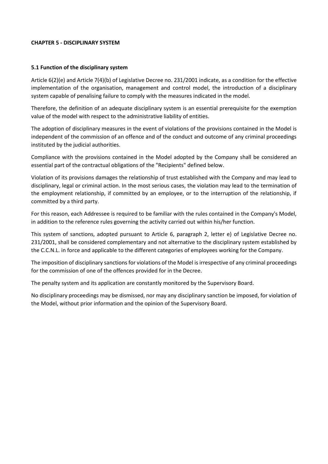#### **CHAPTER 5 - DISCIPLINARY SYSTEM**

#### **5.1 Function of the disciplinary system**

Article 6(2)(e) and Article 7(4)(b) of Legislative Decree no. 231/2001 indicate, as a condition for the effective implementation of the organisation, management and control model, the introduction of a disciplinary system capable of penalising failure to comply with the measures indicated in the model.

Therefore, the definition of an adequate disciplinary system is an essential prerequisite for the exemption value of the model with respect to the administrative liability of entities.

The adoption of disciplinary measures in the event of violations of the provisions contained in the Model is independent of the commission of an offence and of the conduct and outcome of any criminal proceedings instituted by the judicial authorities.

Compliance with the provisions contained in the Model adopted by the Company shall be considered an essential part of the contractual obligations of the "Recipients" defined below.

Violation of its provisions damages the relationship of trust established with the Company and may lead to disciplinary, legal or criminal action. In the most serious cases, the violation may lead to the termination of the employment relationship, if committed by an employee, or to the interruption of the relationship, if committed by a third party.

For this reason, each Addressee is required to be familiar with the rules contained in the Company's Model, in addition to the reference rules governing the activity carried out within his/her function.

This system of sanctions, adopted pursuant to Article 6, paragraph 2, letter e) of Legislative Decree no. 231/2001, shall be considered complementary and not alternative to the disciplinary system established by the C.C.N.L. in force and applicable to the different categories of employees working for the Company.

The imposition of disciplinary sanctions for violations of the Model is irrespective of any criminal proceedings for the commission of one of the offences provided for in the Decree.

The penalty system and its application are constantly monitored by the Supervisory Board.

No disciplinary proceedings may be dismissed, nor may any disciplinary sanction be imposed, for violation of the Model, without prior information and the opinion of the Supervisory Board.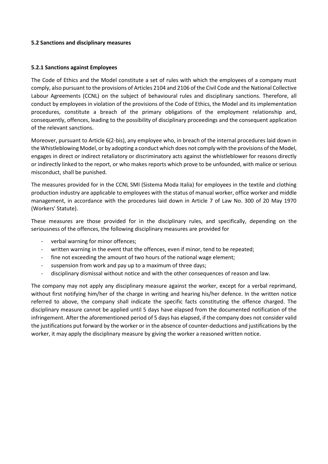#### **5.2 Sanctions and disciplinary measures**

#### **5.2.1 Sanctions against Employees**

The Code of Ethics and the Model constitute a set of rules with which the employees of a company must comply, also pursuant to the provisions of Articles 2104 and 2106 of the Civil Code and the National Collective Labour Agreements (CCNL) on the subject of behavioural rules and disciplinary sanctions. Therefore, all conduct by employees in violation of the provisions of the Code of Ethics, the Model and its implementation procedures, constitute a breach of the primary obligations of the employment relationship and, consequently, offences, leading to the possibility of disciplinary proceedings and the consequent application of the relevant sanctions.

Moreover, pursuant to Article 6(2-bis), any employee who, in breach of the internal procedures laid down in the Whistleblowing Model, or by adopting a conduct which does not comply with the provisions of the Model, engages in direct or indirect retaliatory or discriminatory acts against the whistleblower for reasons directly or indirectly linked to the report, or who makes reports which prove to be unfounded, with malice or serious misconduct, shall be punished.

The measures provided for in the CCNL SMI (Sistema Moda Italia) for employees in the textile and clothing production industry are applicable to employees with the status of manual worker, office worker and middle management, in accordance with the procedures laid down in Article 7 of Law No. 300 of 20 May 1970 (Workers' Statute).

These measures are those provided for in the disciplinary rules, and specifically, depending on the seriousness of the offences, the following disciplinary measures are provided for

- verbal warning for minor offences;
- written warning in the event that the offences, even if minor, tend to be repeated;
- fine not exceeding the amount of two hours of the national wage element;
- suspension from work and pay up to a maximum of three days;
- disciplinary dismissal without notice and with the other consequences of reason and law.

The company may not apply any disciplinary measure against the worker, except for a verbal reprimand, without first notifying him/her of the charge in writing and hearing his/her defence. In the written notice referred to above, the company shall indicate the specific facts constituting the offence charged. The disciplinary measure cannot be applied until 5 days have elapsed from the documented notification of the infringement. After the aforementioned period of 5 days has elapsed, if the company does not consider valid the justifications put forward by the worker or in the absence of counter-deductions and justifications by the worker, it may apply the disciplinary measure by giving the worker a reasoned written notice.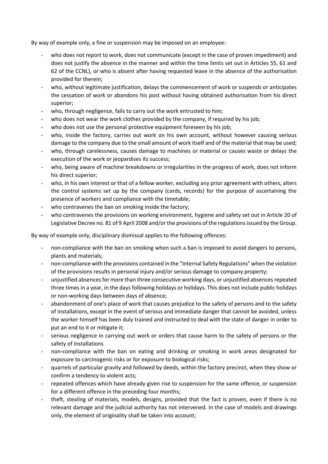By way of example only, a fine or suspension may be imposed on an employee:

- who does not report to work, does not communicate (except in the case of proven impediment) and does not justify the absence in the manner and within the time limits set out in Articles 55, 61 and 62 of the CCNL), or who is absent after having requested leave in the absence of the authorisation provided for therein;
- who, without legitimate justification, delays the commencement of work or suspends or anticipates the cessation of work or abandons his post without having obtained authorisation from his direct superior;
- who, through negligence, fails to carry out the work entrusted to him;
- who does not wear the work clothes provided by the company, if required by his job;
- who does not use the personal protective equipment foreseen by his job;
- who, inside the factory, carries out work on his own account, without however causing serious damage to the company due to the small amount of work itself and of the material that may be used;
- who, through carelessness, causes damage to machines or material or causes waste or delays the execution of the work or jeopardises its success;
- who, being aware of machine breakdowns or irregularities in the progress of work, does not inform his direct superior;
- who, in his own interest or that of a fellow worker, excluding any prior agreement with others, alters the control systems set up by the company (cards, records) for the purpose of ascertaining the presence of workers and compliance with the timetable;
- who contravenes the ban on smoking inside the factory;
- who contravenes the provisions on working environment, hygiene and safety set out in Article 20 of Legislative Decree no. 81 of 9 April 2008 and/or the provisions of the regulations issued by the Group.

By way of example only, disciplinary dismissal applies to the following offences:

- non-compliance with the ban on smoking when such a ban is imposed to avoid dangers to persons, plants and materials;
- non-compliance with the provisions contained in the "Internal Safety Regulations" when the violation of the provisions results in personal injury and/or serious damage to company property;
- unjustified absences for more than three consecutive working days, or unjustified absences repeated three times in a year, in the days following holidays or holidays. This does not include public holidays or non-working days between days of absence;
- abandonment of one's place of work that causes prejudice to the safety of persons and to the safety of installations, except in the event of serious and immediate danger that cannot be avoided, unless the worker himself has been duly trained and instructed to deal with the state of danger in order to put an end to it or mitigate it;
- serious negligence in carrying out work or orders that cause harm to the safety of persons or the safety of installations
- non-compliance with the ban on eating and drinking or smoking in work areas designated for exposure to carcinogenic risks or for exposure to biological risks;
- quarrels of particular gravity and followed by deeds, within the factory precinct, when they show or confirm a tendency to violent acts;
- repeated offences which have already given rise to suspension for the same offence, or suspension for a different offence in the preceding four months;
- theft, stealing of materials, models, designs, provided that the fact is proven, even if there is no relevant damage and the judicial authority has not intervened. In the case of models and drawings only, the element of originality shall be taken into account;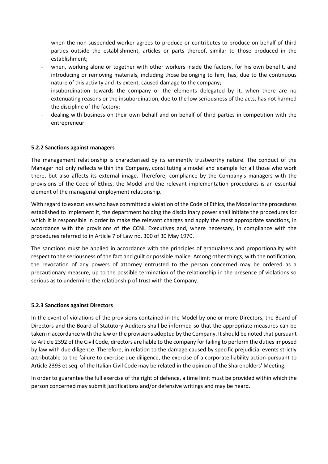- when the non-suspended worker agrees to produce or contributes to produce on behalf of third parties outside the establishment, articles or parts thereof, similar to those produced in the establishment;
- when, working alone or together with other workers inside the factory, for his own benefit, and introducing or removing materials, including those belonging to him, has, due to the continuous nature of this activity and its extent, caused damage to the company;
- insubordination towards the company or the elements delegated by it, when there are no extenuating reasons or the insubordination, due to the low seriousness of the acts, has not harmed the discipline of the factory;
- dealing with business on their own behalf and on behalf of third parties in competition with the entrepreneur.

# **5.2.2 Sanctions against managers**

The management relationship is characterised by its eminently trustworthy nature. The conduct of the Manager not only reflects within the Company, constituting a model and example for all those who work there, but also affects its external image. Therefore, compliance by the Company's managers with the provisions of the Code of Ethics, the Model and the relevant implementation procedures is an essential element of the managerial employment relationship.

With regard to executives who have committed a violation of the Code of Ethics, the Model or the procedures established to implement it, the department holding the disciplinary power shall initiate the procedures for which it is responsible in order to make the relevant charges and apply the most appropriate sanctions, in accordance with the provisions of the CCNL Executives and, where necessary, in compliance with the procedures referred to in Article 7 of Law no. 300 of 30 May 1970.

The sanctions must be applied in accordance with the principles of gradualness and proportionality with respect to the seriousness of the fact and guilt or possible malice. Among other things, with the notification, the revocation of any powers of attorney entrusted to the person concerned may be ordered as a precautionary measure, up to the possible termination of the relationship in the presence of violations so serious as to undermine the relationship of trust with the Company.

#### **5.2.3 Sanctions against Directors**

In the event of violations of the provisions contained in the Model by one or more Directors, the Board of Directors and the Board of Statutory Auditors shall be informed so that the appropriate measures can be taken in accordance with the law or the provisions adopted by the Company. It should be noted that pursuant to Article 2392 of the Civil Code, directors are liable to the company for failing to perform the duties imposed by law with due diligence. Therefore, in relation to the damage caused by specific prejudicial events strictly attributable to the failure to exercise due diligence, the exercise of a corporate liability action pursuant to Article 2393 et seq. of the Italian Civil Code may be related in the opinion of the Shareholders' Meeting.

In order to guarantee the full exercise of the right of defence, a time limit must be provided within which the person concerned may submit justifications and/or defensive writings and may be heard.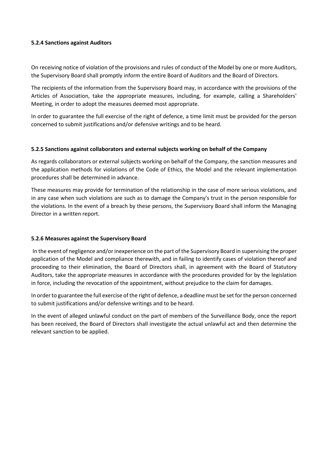#### **5.2.4 Sanctions against Auditors**

On receiving notice of violation of the provisions and rules of conduct of the Model by one or more Auditors, the Supervisory Board shall promptly inform the entire Board of Auditors and the Board of Directors.

The recipients of the information from the Supervisory Board may, in accordance with the provisions of the Articles of Association, take the appropriate measures, including, for example, calling a Shareholders' Meeting, in order to adopt the measures deemed most appropriate.

In order to guarantee the full exercise of the right of defence, a time limit must be provided for the person concerned to submit justifications and/or defensive writings and to be heard.

## **5.2.5 Sanctions against collaborators and external subjects working on behalf of the Company**

As regards collaborators or external subjects working on behalf of the Company, the sanction measures and the application methods for violations of the Code of Ethics, the Model and the relevant implementation procedures shall be determined in advance.

These measures may provide for termination of the relationship in the case of more serious violations, and in any case when such violations are such as to damage the Company's trust in the person responsible for the violations. In the event of a breach by these persons, the Supervisory Board shall inform the Managing Director in a written report.

#### **5.2.6 Measures against the Supervisory Board**

In the event of negligence and/or inexperience on the part of the Supervisory Board in supervising the proper application of the Model and compliance therewith, and in failing to identify cases of violation thereof and proceeding to their elimination, the Board of Directors shall, in agreement with the Board of Statutory Auditors, take the appropriate measures in accordance with the procedures provided for by the legislation in force, including the revocation of the appointment, without prejudice to the claim for damages.

In order to guarantee the full exercise of the right of defence, a deadline must be set for the person concerned to submit justifications and/or defensive writings and to be heard.

In the event of alleged unlawful conduct on the part of members of the Surveillance Body, once the report has been received, the Board of Directors shall investigate the actual unlawful act and then determine the relevant sanction to be applied.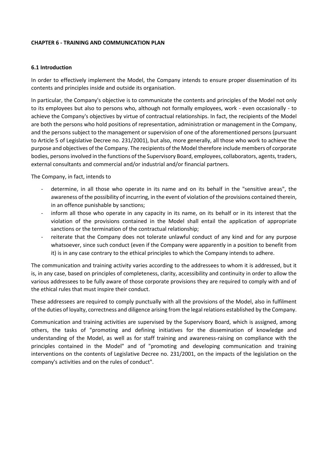#### **CHAPTER 6 - TRAINING AND COMMUNICATION PLAN**

#### **6.1 Introduction**

In order to effectively implement the Model, the Company intends to ensure proper dissemination of its contents and principles inside and outside its organisation.

In particular, the Company's objective is to communicate the contents and principles of the Model not only to its employees but also to persons who, although not formally employees, work - even occasionally - to achieve the Company's objectives by virtue of contractual relationships. In fact, the recipients of the Model are both the persons who hold positions of representation, administration or management in the Company, and the persons subject to the management or supervision of one of the aforementioned persons (pursuant to Article 5 of Legislative Decree no. 231/2001), but also, more generally, all those who work to achieve the purpose and objectives of the Company. The recipients of the Model therefore include members of corporate bodies, persons involved in the functions of the Supervisory Board, employees, collaborators, agents, traders, external consultants and commercial and/or industrial and/or financial partners.

The Company, in fact, intends to

- determine, in all those who operate in its name and on its behalf in the "sensitive areas", the awareness of the possibility of incurring, in the event of violation of the provisions contained therein, in an offence punishable by sanctions;
- inform all those who operate in any capacity in its name, on its behalf or in its interest that the violation of the provisions contained in the Model shall entail the application of appropriate sanctions or the termination of the contractual relationship;
- reiterate that the Company does not tolerate unlawful conduct of any kind and for any purpose whatsoever, since such conduct (even if the Company were apparently in a position to benefit from it) is in any case contrary to the ethical principles to which the Company intends to adhere.

The communication and training activity varies according to the addressees to whom it is addressed, but it is, in any case, based on principles of completeness, clarity, accessibility and continuity in order to allow the various addressees to be fully aware of those corporate provisions they are required to comply with and of the ethical rules that must inspire their conduct.

These addressees are required to comply punctually with all the provisions of the Model, also in fulfilment of the duties of loyalty, correctness and diligence arising from the legal relations established by the Company.

Communication and training activities are supervised by the Supervisory Board, which is assigned, among others, the tasks of "promoting and defining initiatives for the dissemination of knowledge and understanding of the Model, as well as for staff training and awareness-raising on compliance with the principles contained in the Model" and of "promoting and developing communication and training interventions on the contents of Legislative Decree no. 231/2001, on the impacts of the legislation on the company's activities and on the rules of conduct".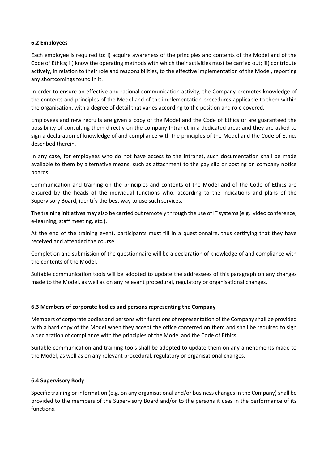## **6.2 Employees**

Each employee is required to: i) acquire awareness of the principles and contents of the Model and of the Code of Ethics; ii) know the operating methods with which their activities must be carried out; iii) contribute actively, in relation to their role and responsibilities, to the effective implementation of the Model, reporting any shortcomings found in it.

In order to ensure an effective and rational communication activity, the Company promotes knowledge of the contents and principles of the Model and of the implementation procedures applicable to them within the organisation, with a degree of detail that varies according to the position and role covered.

Employees and new recruits are given a copy of the Model and the Code of Ethics or are guaranteed the possibility of consulting them directly on the company Intranet in a dedicated area; and they are asked to sign a declaration of knowledge of and compliance with the principles of the Model and the Code of Ethics described therein.

In any case, for employees who do not have access to the Intranet, such documentation shall be made available to them by alternative means, such as attachment to the pay slip or posting on company notice boards.

Communication and training on the principles and contents of the Model and of the Code of Ethics are ensured by the heads of the individual functions who, according to the indications and plans of the Supervisory Board, identify the best way to use such services.

The training initiatives may also be carried out remotely through the use of IT systems (e.g.: video conference, e-learning, staff meeting, etc.).

At the end of the training event, participants must fill in a questionnaire, thus certifying that they have received and attended the course.

Completion and submission of the questionnaire will be a declaration of knowledge of and compliance with the contents of the Model.

Suitable communication tools will be adopted to update the addressees of this paragraph on any changes made to the Model, as well as on any relevant procedural, regulatory or organisational changes.

#### **6.3 Members of corporate bodies and persons representing the Company**

Members of corporate bodies and persons with functions of representation of the Company shall be provided with a hard copy of the Model when they accept the office conferred on them and shall be required to sign a declaration of compliance with the principles of the Model and the Code of Ethics.

Suitable communication and training tools shall be adopted to update them on any amendments made to the Model, as well as on any relevant procedural, regulatory or organisational changes.

#### **6.4 Supervisory Body**

Specific training or information (e.g. on any organisational and/or business changes in the Company) shall be provided to the members of the Supervisory Board and/or to the persons it uses in the performance of its functions.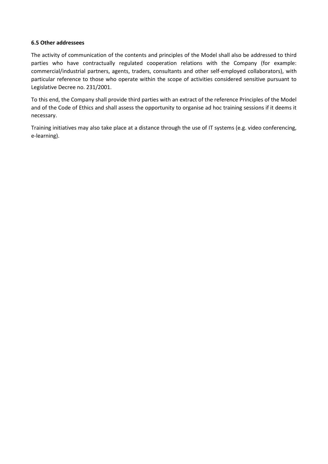#### **6.5 Other addressees**

The activity of communication of the contents and principles of the Model shall also be addressed to third parties who have contractually regulated cooperation relations with the Company (for example: commercial/industrial partners, agents, traders, consultants and other self-employed collaborators), with particular reference to those who operate within the scope of activities considered sensitive pursuant to Legislative Decree no. 231/2001.

To this end, the Company shall provide third parties with an extract of the reference Principles of the Model and of the Code of Ethics and shall assess the opportunity to organise ad hoc training sessions if it deems it necessary.

Training initiatives may also take place at a distance through the use of IT systems (e.g. video conferencing, e-learning).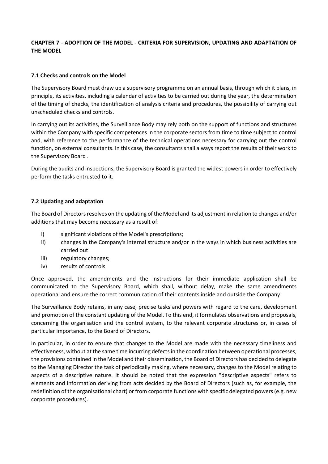# **CHAPTER 7 - ADOPTION OF THE MODEL - CRITERIA FOR SUPERVISION, UPDATING AND ADAPTATION OF THE MODEL**

# **7.1 Checks and controls on the Model**

The Supervisory Board must draw up a supervisory programme on an annual basis, through which it plans, in principle, its activities, including a calendar of activities to be carried out during the year, the determination of the timing of checks, the identification of analysis criteria and procedures, the possibility of carrying out unscheduled checks and controls.

In carrying out its activities, the Surveillance Body may rely both on the support of functions and structures within the Company with specific competences in the corporate sectors from time to time subject to control and, with reference to the performance of the technical operations necessary for carrying out the control function, on external consultants. In this case, the consultants shall always report the results of their work to the Supervisory Board .

During the audits and inspections, the Supervisory Board is granted the widest powers in order to effectively perform the tasks entrusted to it.

## **7.2 Updating and adaptation**

The Board of Directors resolves on the updating of the Model and its adjustment in relation to changes and/or additions that may become necessary as a result of:

- i) significant violations of the Model's prescriptions;
- ii) changes in the Company's internal structure and/or in the ways in which business activities are carried out
- iii) regulatory changes;
- iv) results of controls.

Once approved, the amendments and the instructions for their immediate application shall be communicated to the Supervisory Board, which shall, without delay, make the same amendments operational and ensure the correct communication of their contents inside and outside the Company.

The Surveillance Body retains, in any case, precise tasks and powers with regard to the care, development and promotion of the constant updating of the Model. To this end, it formulates observations and proposals, concerning the organisation and the control system, to the relevant corporate structures or, in cases of particular importance, to the Board of Directors.

In particular, in order to ensure that changes to the Model are made with the necessary timeliness and effectiveness, without at the same time incurring defects in the coordination between operational processes, the provisions contained in the Model and their dissemination, the Board of Directors has decided to delegate to the Managing Director the task of periodically making, where necessary, changes to the Model relating to aspects of a descriptive nature. It should be noted that the expression "descriptive aspects" refers to elements and information deriving from acts decided by the Board of Directors (such as, for example, the redefinition of the organisational chart) or from corporate functions with specific delegated powers (e.g. new corporate procedures).